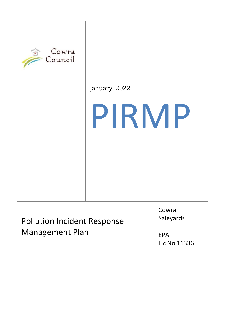

January 2022

# PIRMP

Pollution Incident Response Management Plan

Cowra Saleyards

EPA Lic No 11336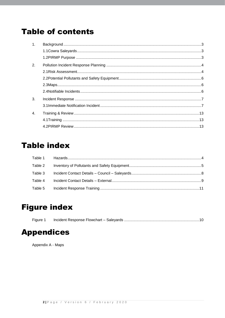# **Table of contents**

| 1 <sub>1</sub>   |  |
|------------------|--|
|                  |  |
|                  |  |
| 2.               |  |
|                  |  |
|                  |  |
|                  |  |
|                  |  |
| 3.               |  |
|                  |  |
| $\overline{4}$ . |  |
|                  |  |
|                  |  |

## **Table index**

## **Figure index**

## **Appendices**

Appendix A - Maps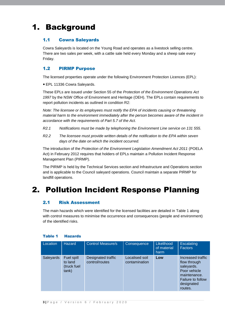# 1. Background

#### 1.1 Cowra Saleyards

Cowra Saleyards is located on the Young Road and operates as a livestock selling centre. There are two sales per week, with a cattle sale held every Monday and a sheep sale every Friday.

#### 1.2 PIRMP Purpose

The licensed properties operate under the following Environment Protection Licences (EPL):

EPL 11336 Cowra Saleyards.

These EPLs are issued under Section 55 of the *Protection of the Environment Operations Act 1997* by the NSW Office of Environment and Heritage (OEH). The EPLs contain requirements to report pollution incidents as outlined in condition R2:

*Note: The licensee or its employees must notify the EPA of incidents causing or threatening material harm to the environment immediately after the person becomes aware of the incident in accordance with the requirements of Part 5.7 of the Act.*

- *R2.1 Notifications must be made by telephoning the Environment Line service on 131 555.*
- *R2.2 The licensee must provide written details of the notification to the EPA within seven days of the date on which the incident occurred.*

The introduction of the *Protection of the Environment Legislation Amendment Act 2011* (POELA Act) in February 2012 requires that holders of EPLs maintain a Pollution Incident Response Management Plan (PIRMP).

The PIRMP is held by the Technical Services section and Infrastructure and Operations section and is applicable to the Council saleyard operations. Council maintain a separate PIRMP for landfill operations.

# 2. Pollution Incident Response Planning

#### 2.1 Risk Assessment

The main hazards which were identified for the licensed facilities are detailed in Table 1 along with control measures to minimise the occurrence and consequences (people and environment) of the identified risks.

| Location  | <b>Hazard</b>                                 | <b>Control Measure/s</b>             | Consequence                     | Likelihood<br>of material<br>harm | <b>Escalating</b><br><b>Factors</b>                                                                                                  |
|-----------|-----------------------------------------------|--------------------------------------|---------------------------------|-----------------------------------|--------------------------------------------------------------------------------------------------------------------------------------|
| Saleyards | Fuel spill<br>to land<br>(truck fuel<br>tank) | Designated traffic<br>control/routes | Localised soil<br>contamination | Low                               | Increased traffic<br>flow through<br>saleyards.<br>Poor vehicle<br>maintenance.<br><b>Failure to follow</b><br>designated<br>routes. |

#### Table 1 Hazards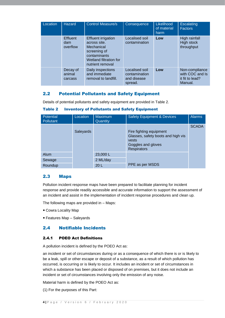| Location | <b>Hazard</b>                      | <b>Control Measure/s</b>                                                                                                               | Consequence                                               | Likelihood<br>of material<br>harm | <b>Escalating</b><br><b>Factors</b>                             |
|----------|------------------------------------|----------------------------------------------------------------------------------------------------------------------------------------|-----------------------------------------------------------|-----------------------------------|-----------------------------------------------------------------|
|          | <b>Effluent</b><br>dam<br>overflow | <b>Effluent irrigation</b><br>across site.<br>Mechanical<br>screening of<br>contaminants<br>Wetland filtration for<br>nutrient removal | Localised soil<br>contamination                           | Low                               | High rainfall<br>High stock<br>throughput                       |
|          | Decay of<br>animal<br>carcass      | Daily inspections<br>and immediate<br>removal to landfill.                                                                             | Localised soil<br>contamination<br>and disease<br>spread. | Low                               | Non-compliance<br>with COC and Is<br>it fit to lead?<br>Manual. |

#### 2.2 Potential Pollutants and Safety Equipment

Details of potential pollutants and safety equipment are provided in Table 2.

| <b>Potential</b><br><b>Pollutant</b> | Location  | <b>Maximum</b><br>Quantity | <b>Safety Equipment &amp; Devices</b>                                                                              | <b>Alarms</b> |
|--------------------------------------|-----------|----------------------------|--------------------------------------------------------------------------------------------------------------------|---------------|
|                                      | Saleyards |                            | Fire fighting equipment<br>Glasses, safety boots and high vis<br>vests<br>Goggles and gloves<br><b>Respirators</b> | <b>SCADA</b>  |
| Alum                                 |           | 23,000L                    |                                                                                                                    |               |
| Sewage                               |           | 2 ML/day                   |                                                                                                                    |               |
| Roundup                              |           | 20 <sub>L</sub>            | PPE as per MSDS                                                                                                    |               |

Table 2 Inventory of Pollutants and Safety Equipment

#### 2.3 Maps

Pollution incident response maps have been prepared to facilitate planning for incident response and provide readily accessible and accurate information to support the assessment of an incident and assist in the implementation of incident response procedures and clean up.

The following maps are provided in – Maps:

- Cowra Locality Map
- Features Map Saleyards

#### 2.4 Notifiable Incidents

#### 2.4.1 POEO Act Definitions

A pollution incident is defined by the POEO Act as:

an incident or set of circumstances during or as a consequence of which there is or is likely to be a leak, spill or other escape or deposit of a substance, as a result of which pollution has occurred, is occurring or is likely to occur. It includes an incident or set of circumstances in which a substance has been placed or disposed of on premises, but it does not include an incident or set of circumstances involving only the emission of any noise.

Material harm is defined by the POEO Act as:

(1) For the purposes of this Part: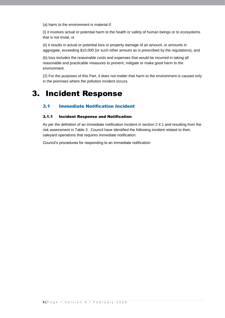(a) harm to the environment is material if:

(i) it involves actual or potential harm to the health or safety of human beings or to ecosystems that is not trivial, or

(ii) it results in actual or potential loss or property damage of an amount, or amounts in aggregate, exceeding \$10,000 (or such other amount as is prescribed by the regulations), and

(b) loss includes the reasonable costs and expenses that would be incurred in taking all reasonable and practicable measures to prevent, mitigate or make good harm to the environment.

(2) For the purposes of this Part, it does not matter that harm to the environment is caused only in the premises where the pollution incident occurs.

## 3. Incident Response

#### 3.1 Immediate Notification Incident

#### 3.1.1 Incident Response and Notification

As per the definition of an immediate notification incident in section 2.4.1 and resulting from the risk assessment in Table 3 , Council have identified the following incident related to their, saleyard operations that requires immediate notification:

Council's procedures for responding to an immediate notification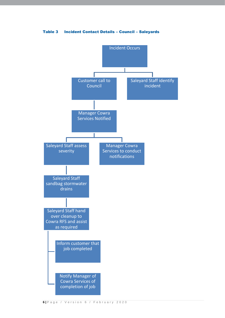Table 3 Incident Contact Details – Council – Saleyards

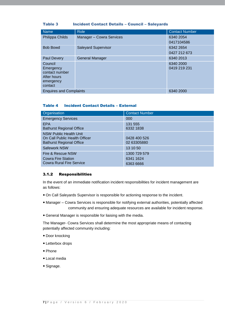#### Table 3 Incident Contact Details – Council – Saleyards

| <b>Name</b>                 | <b>Role</b>                                 | <b>Contact Number</b> |  |  |  |  |
|-----------------------------|---------------------------------------------|-----------------------|--|--|--|--|
| Philippa Childs             | Manager - Cowra Services                    | 6340 2054             |  |  |  |  |
|                             |                                             | 0417104586            |  |  |  |  |
| <b>Bob Bowd</b>             | <b>Saleyard Supervisor</b>                  | 6342 2654             |  |  |  |  |
|                             |                                             | 0427 212 673          |  |  |  |  |
| <b>Paul Devery</b>          | <b>General Manager</b>                      | 6340 2013             |  |  |  |  |
| Council                     |                                             | 6340 2000             |  |  |  |  |
| Emergency<br>contact number |                                             | 0419 219 231          |  |  |  |  |
| After hours                 |                                             |                       |  |  |  |  |
| emergency                   |                                             |                       |  |  |  |  |
| contact                     |                                             |                       |  |  |  |  |
|                             | <b>Enquires and Complaints</b><br>6340 2000 |                       |  |  |  |  |

#### Table 4 Incident Contact Details – External

| Organisation                                                                                      | <b>Contact Number</b>       |
|---------------------------------------------------------------------------------------------------|-----------------------------|
| <b>Emergency Services</b>                                                                         | 000                         |
| <b>EPA</b><br><b>Bathurst Regional Office</b>                                                     | 131 555<br>6332 1838        |
| <b>NSW Public Health Unit</b><br>On Call Public Health Officer<br><b>Bathurst Regional Office</b> | 0428 400 526<br>02 63305880 |
| Safework NSW                                                                                      | 13 10 50                    |
| Fire & Rescue NSW                                                                                 | 1300 729 579                |
| Cowra Fire Station                                                                                | 6341 1624                   |
| <b>Cowra Rural Fire Service</b>                                                                   | 6363 6666                   |

#### 3.1.2 Responsibilities

In the event of an immediate notification incident responsibilities for incident management are as follows:

- On Call Saleyards Supervisor is responsible for actioning response to the incident.
- Manager Cowra Services is responsible for notifying external authorities, potentially affected community and ensuring adequate resources are available for incident response.
- General Manager is responsible for liaising with the media.

The Manager- Cowra Services shall determine the most appropriate means of contacting potentially affected community including:

- Door knocking
- Letterbox drops
- Phone
- Local media
- Signage.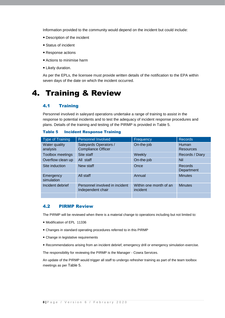Information provided to the community would depend on the incident but could include:

- Description of the incident
- Status of incident
- Response actions
- Actions to minimise harm
- Likely duration.

As per the EPLs, the licensee must provide written details of the notification to the EPA within seven days of the date on which the incident occurred.

## 4. Training & Review

#### 4.1 Training

Personnel involved in saleyard operations undertake a range of training to assist in the response to potential incidents and to test the adequacy of incident response procedures and plans. Details of the training and testing of the PIRMP is provided in Table 5.

#### Table 5 Incident Response Training

| <b>Type of Training</b>   | Personnel Involved                                  | Frequency                          | <b>Records</b>                   |
|---------------------------|-----------------------------------------------------|------------------------------------|----------------------------------|
| Water quality<br>analysis | Saleyards Operators /<br><b>Compliance Officer</b>  | On-the-job                         | <b>Human</b><br><b>Resources</b> |
| <b>Toolbox meetings</b>   | Site staff                                          | Weekly                             | Records / Diary                  |
| Overflow clean up         | All staff                                           | On-the-job                         | <b>Nil</b>                       |
| Site induction            | New staff                                           | Once                               | <b>Records</b><br>Department     |
| Emergency<br>simulation   | All staff                                           | Annual                             | <b>Minutes</b>                   |
| Incident debrief          | Personnel involved in incident<br>Independent chair | Within one month of an<br>incident | <b>Minutes</b>                   |
|                           |                                                     |                                    |                                  |

#### 4.2 PIRMP Review

The PIRMP will be reviewed when there is a material change to operations including but not limited to:

- Modification of EPL 11336
- Changes in standard operating procedures referred to in this PIRMP
- Change in legislative requirements
- Recommendations arising from an incident debrief, emergency drill or emergency simulation exercise.

The responsibility for reviewing the PIRMP is the Manager - Cowra Services.

An update of the PIRMP would trigger all staff to undergo refresher training as part of the team toolbox meetings as per Table 5.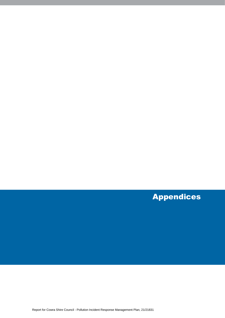Appendices

Report for Cowra Shire Council - Pollution Incident Response Management Plan, 21/21831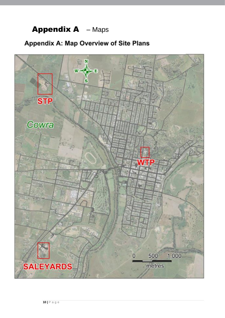## **Appendix A** - Maps

## Appendix A: Map Overview of Site Plans

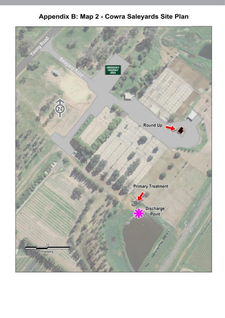## Appendix B: Map 2 - Cowra Saleyards Site Plan

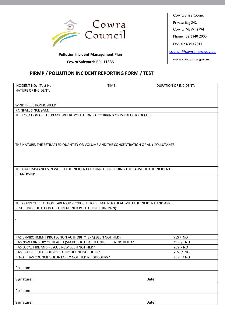

**Pollution Incident Management Plan**

**Cowra Saleyards EPL 11336 WWW.cowra.nsw.gov.au** 

#### **PIRMP / POLLUTION INCIDENT REPORTING FORM / TEST**

| INCIDENT NO: (Test No)                                                                | TIME: | DURATION OF INCIDENT:   |
|---------------------------------------------------------------------------------------|-------|-------------------------|
| <b>NATURE OF INCIDENT:</b>                                                            |       |                         |
|                                                                                       |       |                         |
|                                                                                       |       |                         |
| WIND DIRECTION & SPEED:                                                               |       |                         |
| <b>RAINFALL SINCE 9AM:</b>                                                            |       |                         |
| THE LOCATION OF THE PLACE WHERE POLLUTIONIS OCCURRING OR IS LIKELY TO OCCUR:          |       |                         |
|                                                                                       |       |                         |
|                                                                                       |       |                         |
|                                                                                       |       |                         |
|                                                                                       |       |                         |
|                                                                                       |       |                         |
| THE NATURE, THE ESTIMATED QUANTITY OR VOLUME AND THE CONCENTRATION OF ANY POLLUTANTS  |       |                         |
|                                                                                       |       |                         |
|                                                                                       |       |                         |
|                                                                                       |       |                         |
|                                                                                       |       |                         |
| THE CIRCUMSTANCES IN WHICH THE INCIDENT OCCURRED, INCLUDING THE CAUSE OF THE INCIDENT |       |                         |
| (IF KNOWN):                                                                           |       |                         |
|                                                                                       |       |                         |
|                                                                                       |       |                         |
|                                                                                       |       |                         |
|                                                                                       |       |                         |
|                                                                                       |       |                         |
| THE CORRECTIVE ACTION TAKEN OR PROPOSED TO BE TAKEN TO DEAL WITH THE INCIDENT AND ANY |       |                         |
| RESULTING POLLUTION OR THREATENED POLLUTION (IF KNOWN):                               |       |                         |
|                                                                                       |       |                         |
| $\blacksquare$                                                                        |       |                         |
|                                                                                       |       |                         |
|                                                                                       |       |                         |
| HAS ENVIRONMENT PROTECTION AUTHORITY (EPA) BEEN NOTIFIED?                             |       | YES / NO                |
| HAS NSW MINISTRY OF HEALTH (VIA PUBLIC HEALTH UNITS) BEEN NOTIFIED?                   |       | YES /<br><b>NO</b>      |
| HAS LOCAL FIRE AND RESCUE NSW BEEN NOTIFIED?                                          |       | YES / NO                |
| HAS EPA DIRECTED COUNCIL TO NOTIFY NEIGHBOURS?                                        |       | <b>YES</b><br><b>NO</b> |
| IF NOT, HAS COUNCIL VOLUNTARILY NOTIFIED NEIGHBOURS?                                  |       | <b>YES</b><br>/ NO      |
|                                                                                       |       |                         |
|                                                                                       |       |                         |
| Position:                                                                             |       |                         |
|                                                                                       |       |                         |
| Signature:                                                                            |       | Date:                   |
|                                                                                       |       |                         |
| Position:                                                                             |       |                         |
|                                                                                       |       |                         |
|                                                                                       |       |                         |
| Signature:                                                                            |       | Date:                   |

Cowra Shire Council Private Bag 342 Cowra NSW 2794 Phone: 02 6340 2000 Fax: 02 6340 2011 [council@cowra.nsw.gov.au](mailto:council@cowra.nsw.gov.au)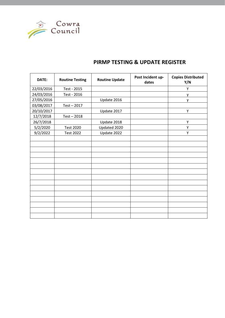

### **PIRMP TESTING & UPDATE REGISTER**

| DATE:      | <b>Routine Testing</b> | <b>Routine Update</b> | Post Incident up-<br>dates | <b>Copies Distributed</b><br>Y/N |
|------------|------------------------|-----------------------|----------------------------|----------------------------------|
| 22/03/2016 | Test - 2015            |                       |                            | Υ                                |
| 24/03/2016 | Test - 2016            |                       |                            | у                                |
| 27/05/2016 |                        | Update 2016           |                            | y                                |
| 03/08/2017 | Test - 2017            |                       |                            |                                  |
| 20/10/2017 |                        | Update 2017           |                            | Υ                                |
| 12/7/2018  | $Test - 2018$          |                       |                            |                                  |
| 26/7/2018  |                        | Update 2018           |                            | Υ                                |
| 5/2/2020   | <b>Test 2020</b>       | Updated 2020          |                            | Υ                                |
| 9/2/2022   | <b>Test 2022</b>       | Update 2022           |                            | Y                                |
|            |                        |                       |                            |                                  |
|            |                        |                       |                            |                                  |
|            |                        |                       |                            |                                  |
|            |                        |                       |                            |                                  |
|            |                        |                       |                            |                                  |
|            |                        |                       |                            |                                  |
|            |                        |                       |                            |                                  |
|            |                        |                       |                            |                                  |
|            |                        |                       |                            |                                  |
|            |                        |                       |                            |                                  |
|            |                        |                       |                            |                                  |
|            |                        |                       |                            |                                  |
|            |                        |                       |                            |                                  |
|            |                        |                       |                            |                                  |
|            |                        |                       |                            |                                  |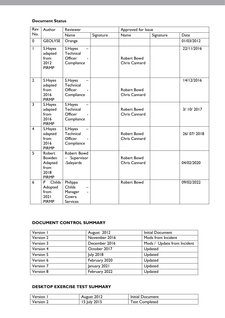#### **Document Status**

| Rev                     | Author                                                             | Reviewer<br>Approved for Issue                                                     |           |                                     |           |            |
|-------------------------|--------------------------------------------------------------------|------------------------------------------------------------------------------------|-----------|-------------------------------------|-----------|------------|
| No.                     |                                                                    | Name                                                                               | Signature | Name                                | Signature | Date       |
| 0                       | <b>GEOLYSE</b>                                                     | Orange                                                                             |           |                                     |           | 01/03/2012 |
| $\mathbf{I}$            | S.Hayes<br>adapted<br>from<br>2012<br><b>PIRMP</b>                 | S.Hayes<br>Technical<br>Officer<br>Compliance                                      |           | <b>Robert Bowd</b><br>Chris Cannard |           | 22/11/2016 |
| $\overline{2}$          | S.Hayes<br>adapted<br>from<br>2016<br><b>PIRMP</b>                 | S.Hayes<br>Technical<br>Officer<br>Compliance                                      |           | <b>Robert Bowd</b><br>Chris Cannard |           | 14/12/2016 |
| $\overline{3}$          | S.Hayes<br>adapted<br>from<br>2016<br><b>PIRMP</b>                 | S.Hayes<br>Technical<br>Officer<br>Compliance                                      |           | <b>Robert Bowd</b><br>Chris Cannard |           | 3/10/2017  |
| $\overline{\mathbf{4}}$ | S.Hayes<br>adapted<br>from<br>2016<br><b>PIRMP</b>                 | S.Hayes<br>Technical<br>Officer<br>Compliance                                      |           | <b>Robert Bowd</b><br>Chris Cannard |           | 26/07/2018 |
| 5                       | Robert<br><b>Bowden</b><br>Adapted<br>from<br>2018<br><b>PIRMP</b> | Robert Bowd<br>Supervisor<br>-Saleyards                                            |           | <b>Robert Bowd</b><br>Chris Cannard |           | 04/02/2020 |
| 6                       | Childs<br>P<br>Adopted<br>from<br>2021<br><b>PIRMP</b>             | Philippa<br><b>Childs</b><br>Manager<br>$\blacksquare$<br>Cowra<br><b>Services</b> |           | <b>Robert Bowd</b>                  |           | 09/02/2022 |

#### **DOCUMENT CONTROL SUMMARY**

| Version I | August 2012      | <b>Initial Document</b>     |
|-----------|------------------|-----------------------------|
| Version 2 | November 2016    | Mods from Incident          |
| Version 3 | December 2016    | Mods / Update from Incident |
| Version 4 | October 2017     | Updated                     |
| Version 5 | <b>July 2018</b> | Updated                     |
| Version 6 | February 2020    | Updated                     |
| Version 7 | January 2021     | Updated                     |
| Version 8 | February 2022    | Updated                     |

#### **DESKTOP EXERCISE TEST SUMMARY**

| Version   | August 2012  | Initial Document      |
|-----------|--------------|-----------------------|
| Version 2 | 15 July 2015 | <b>Test Completed</b> |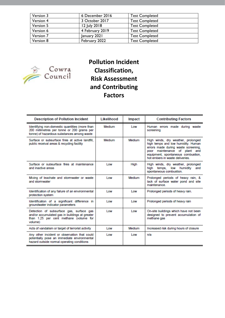| Version 3 | 6 December 2016 | <b>Test Completed</b> |  |
|-----------|-----------------|-----------------------|--|
| Version 4 | 3 October 2017  | <b>Test Completed</b> |  |
| Version 5 | 12 July 2018    | <b>Test Completed</b> |  |
| Version 6 | 4 February 2019 | <b>Test Completed</b> |  |
| Version 7 | January 2021    | <b>Test Completed</b> |  |
| Version 8 | February 2022   | <b>Test Completed</b> |  |



## **Pollution Incident Classification, Risk Assessment and Contributing Factors**

| <b>Description of Pollution Incident</b>                                                                                                        | Likelihood | Impact     | <b>Contributing Factors</b>                                                                                                                                                                                               |
|-------------------------------------------------------------------------------------------------------------------------------------------------|------------|------------|---------------------------------------------------------------------------------------------------------------------------------------------------------------------------------------------------------------------------|
| Identifying non-domestic quantities (more than<br>200 millimetres per tonne or 200 grams per<br>tonne) of hazardous substances among waste      | Medium     | <b>Low</b> | Human errors made during waste<br>screening                                                                                                                                                                               |
| Surface or subsurface fires at active landfill.<br>public receival areas & recycling facility                                                   | Medium     | Medium     | High winds, dry weather, prolonged<br>high temps and low humidity. Human<br>errors made during waste screening,<br>poor maintenance of plant and<br>equipment, spontaneous combustion,<br>hot embers in waste deliveries. |
| Surface or subsurface fires at maintenance<br>and inactive areas                                                                                | Low        | High       | High winds, dry weather, prolonged<br>hiah<br>low humidity<br>temps.<br>and<br>spontaneous combustion.                                                                                                                    |
| Mixing of leachate and stormwater or waste<br>and stormwater                                                                                    | Low        | Medium     | Prolonged periods of heavy rain, &<br>lack of surface water pond and site<br>maintenance                                                                                                                                  |
| Identification of any failure of an environmental<br>protection system                                                                          | Low        | Low        | Prolonged periods of heavy rain.                                                                                                                                                                                          |
| Identification of a significant difference in<br>groundwater indicator parameters                                                               | Low        | Low        | Prolonged periods of heavy rain                                                                                                                                                                                           |
| Detection of subsurface gas, surface gas<br>and/or accumulated gas in buildings at greater<br>than 1.25 per cent methane (volume for<br>volume) | Low        | Low        | On-site buildings which have not been<br>designed to prevent accumulation of<br>methane gas                                                                                                                               |
| Acts of vandalism or target of terrorist activity                                                                                               | Low        | Medium     | Increased risk during hours of closure                                                                                                                                                                                    |
| Any other incident or observation that could<br>potentially pose an immediate environmental<br>hazard outside normal operating conditions       | Low        | <b>Low</b> | n/a                                                                                                                                                                                                                       |